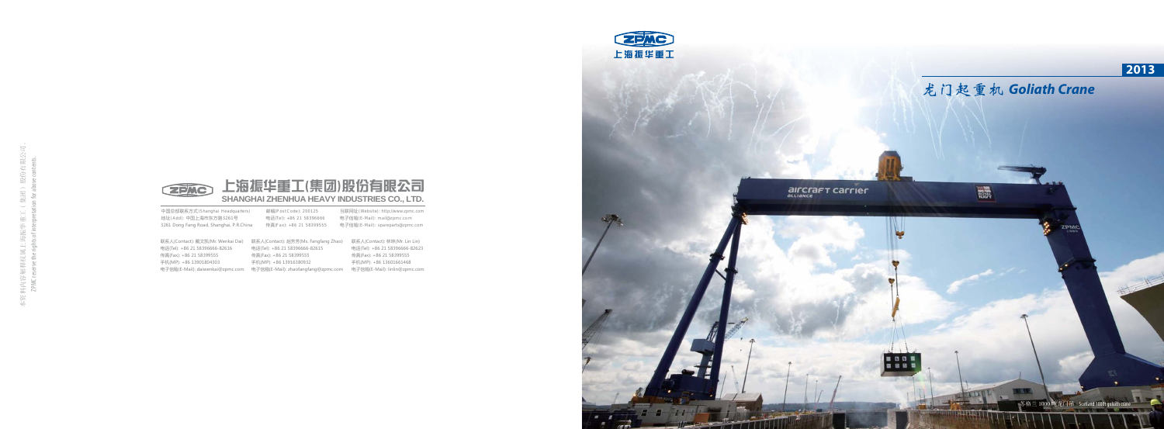





中国总部联系方式(Shanghai Headquarters) 地址(Add): 中国上海市东方路3261号 地址(Add): 中国上海市东方路3261号 电话(Tel): +86\_21\_58396666 电子信箱(E-Mail): mail@zpmc.com<br>3261 Dong Fang Road, Shanghai, P.R.China 传真(Fax): +86\_21\_58399555 电子信箱(E-Mail): spareparts@zpmc.com

邮编(PostCode): 200125 电话(Tel):

互联网址 (Website): http://www.zpmc.com 电子信箱(E-Mail): mail@zpmc.com

联系人(Contact): 戴文凯(Mr. Wenkai Dai) 联系人(Contact): 赵芳芳(Ms. Fangfang Zhao) 联系人(Contact): 林琳(Mr. Lin Lin) 电话(Tel): +86 21 58396666-82615 传真(Fax): +86 21 58399555 手机(MP): +86 13916380932

电子信箱(E-Mail): daiwenkai@zpmc.com 电子信箱(E-Mail): zhaofangfang@zpmc.com 电子信箱(E-Mail): linlin@zpmc.com 电话(Tel): +86 21 58396666-82623 传真(Fax): +86 21 58399555 手机(MP): +86 13601661468



## 龙门起重机 *Goliath Crane*

靈

**alrCrafT Carrier** 

苏格兰 1000 吨龙门吊 Scotland 1000t goliath crane

电话(Tel): +86 21 58396666-82616 传真(Fax): +86 21 58399555 手机(MP): +86 13901804303